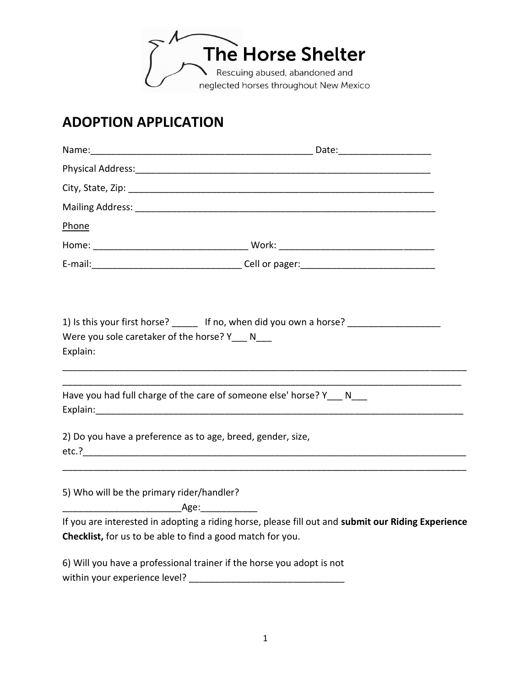

## **ADOPTION APPLICATION**

| Phone                                                       |                                                                                                    |
|-------------------------------------------------------------|----------------------------------------------------------------------------------------------------|
|                                                             |                                                                                                    |
|                                                             |                                                                                                    |
| Were you sole caretaker of the horse? Y___ N___<br>Explain: | 1) Is this your first horse? ______ If no, when did you own a horse? ____________                  |
|                                                             | Have you had full charge of the care of someone else' horse? Y N                                   |
|                                                             | 2) Do you have a preference as to age, breed, gender, size,                                        |
| 5) Who will be the primary rider/handler?                   | _Age:______________                                                                                |
|                                                             | If you are interested in adopting a riding horse, please fill out and submit our Riding Experience |
| Checklist, for us to be able to find a good match for you.  |                                                                                                    |
|                                                             | 6) Will you have a professional trainer if the horse you adopt is not                              |
| within your experience level?                               |                                                                                                    |